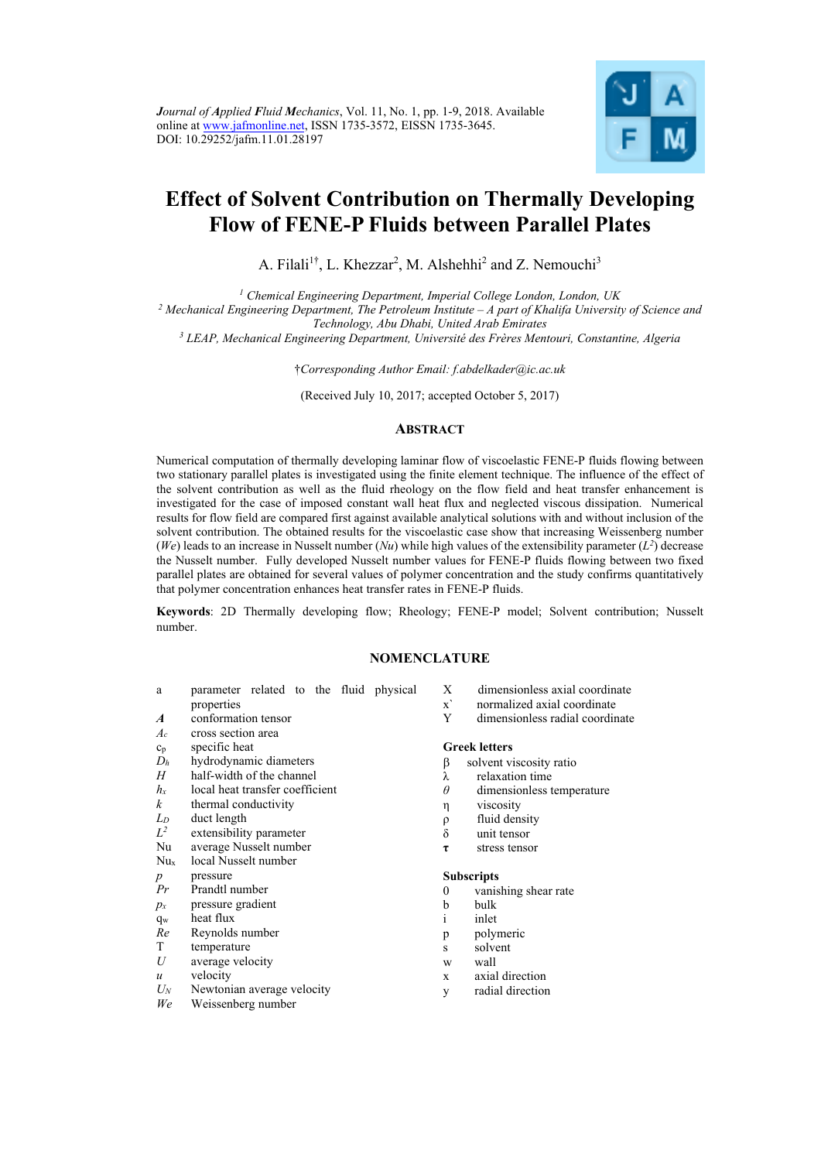

# **Effect of Solvent Contribution on Thermally Developing Flow of FENE-P Fluids between Parallel Plates**

A. Filali<sup>1†</sup>, L. Khezzar<sup>2</sup>, M. Alshehhi<sup>2</sup> and Z. Nemouchi<sup>3</sup>

*1 Chemical Engineering Department, Imperial College London, London, UK 2 Mechanical Engineering Department, The Petroleum Institute – A part of Khalifa University of Science and* 

*Technology, Abu Dhabi, United Arab Emirates 3 LEAP, Mechanical Engineering Department, Université des Frères Mentouri, Constantine, Algeria* 

†*Corresponding Author Email: f.abdelkader@ic.ac.uk* 

(Received July 10, 2017; accepted October 5, 2017)

# **ABSTRACT**

Numerical computation of thermally developing laminar flow of viscoelastic FENE-P fluids flowing between two stationary parallel plates is investigated using the finite element technique. The influence of the effect of the solvent contribution as well as the fluid rheology on the flow field and heat transfer enhancement is investigated for the case of imposed constant wall heat flux and neglected viscous dissipation. Numerical results for flow field are compared first against available analytical solutions with and without inclusion of the solvent contribution. The obtained results for the viscoelastic case show that increasing Weissenberg number (*We*) leads to an increase in Nusselt number (*Nu*) while high values of the extensibility parameter ( $L^2$ ) decrease the Nusselt number. Fully developed Nusselt number values for FENE-P fluids flowing between two fixed parallel plates are obtained for several values of polymer concentration and the study confirms quantitatively that polymer concentration enhances heat transfer rates in FENE-P fluids.

**Keywords**: 2D Thermally developing flow; Rheology; FENE-P model; Solvent contribution; Nusselt number.

# **NOMENCLATURE**

- a parameter related to the fluid physical properties
- *A* conformation tensor
- *Ac* cross section area
- cp specific heat
- 
- $D_h$  hydrodynamic diameters<br>*H* half-width of the channel half-width of the channel
- *hx* local heat transfer coefficient
- *k* thermal conductivity
- *LD* duct length
- *L2* extensibility parameter
- Nu average Nusselt number
- Nux local Nusselt number
- *p* pressure
- *Pr* Prandtl number
- *px* pressure gradient
- $q_w$  heat flux
- *Re* Reynolds number
- $T$  temperature<br> $U$  average velo
- average velocity
- *u* velocity
- *UN* Newtonian average velocity
- *We* Weissenberg number
- X dimensionless axial coordinate
- x` normalized axial coordinate<br>Y dimensionless radial coordin
- dimensionless radial coordinate

#### **Greek letters**

- solvent viscosity ratio
- 
- $λ$  relaxation time<br>  $θ$  dimensionless to *θ* dimensionless temperature
- η viscosity
- ρ fluid density
- δ unit tensor
- **τ** stress tensor

#### **Subscripts**

- 0 vanishing shear rate
- b bulk
- i inlet
- p polymeric
- s solvent
- w wall
- x axial direction
- y radial direction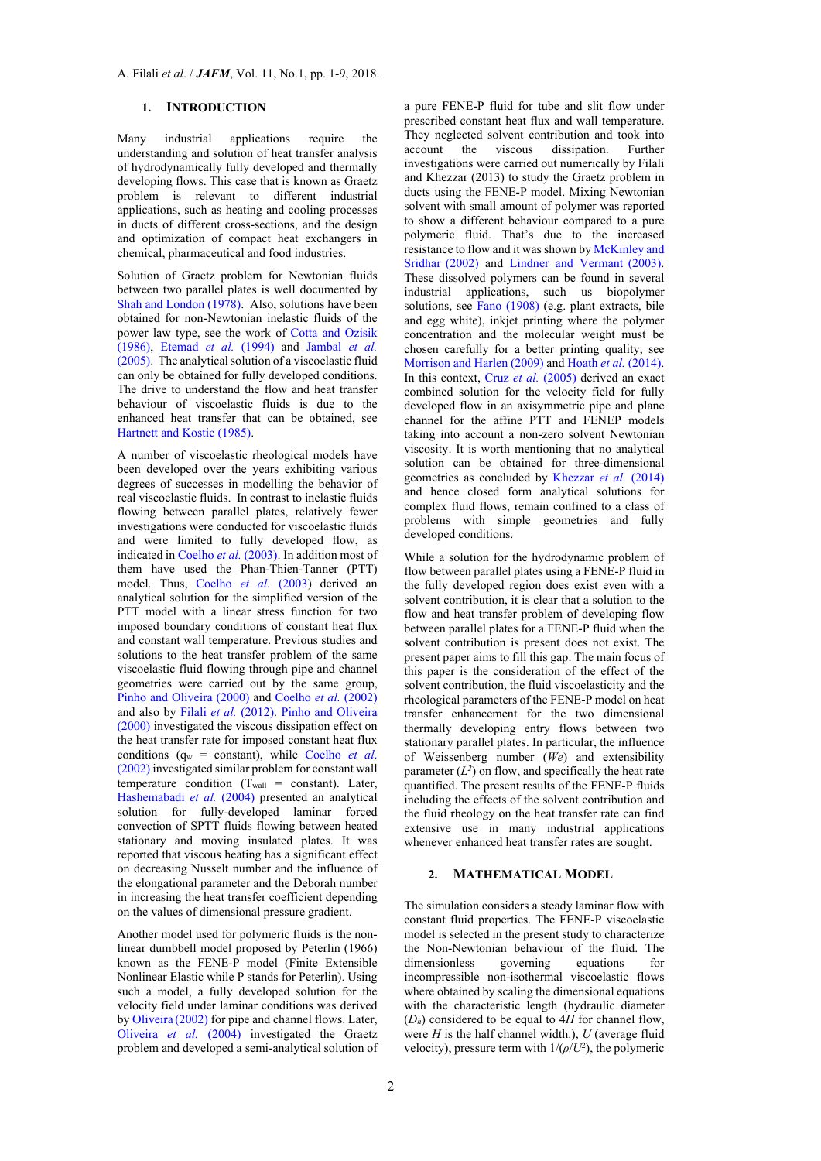#### **1. INTRODUCTION**

Many industrial applications require the understanding and solution of heat transfer analysis of hydrodynamically fully developed and thermally developing flows. This case that is known as Graetz problem is relevant to different industrial applications, such as heating and cooling processes in ducts of different cross-sections, and the design and optimization of compact heat exchangers in chemical, pharmaceutical and food industries.

Solution of Graetz problem for Newtonian fluids between two parallel plates is well documented by Shah and London (1978). Also, solutions have been obtained for non-Newtonian inelastic fluids of the power law type, see the work of Cotta and Ozisik (1986), Etemad *et al.* (1994) and Jambal *et al.* (2005). The analytical solution of a viscoelastic fluid can only be obtained for fully developed conditions. The drive to understand the flow and heat transfer behaviour of viscoelastic fluids is due to the enhanced heat transfer that can be obtained, see Hartnett and Kostic (1985).

A number of viscoelastic rheological models have been developed over the years exhibiting various degrees of successes in modelling the behavior of real viscoelastic fluids. In contrast to inelastic fluids flowing between parallel plates, relatively fewer investigations were conducted for viscoelastic fluids and were limited to fully developed flow, as indicated in Coelho *et al.* (2003). In addition most of them have used the Phan-Thien-Tanner (PTT) model. Thus, Coelho *et al.* (2003) derived an analytical solution for the simplified version of the PTT model with a linear stress function for two imposed boundary conditions of constant heat flux and constant wall temperature. Previous studies and solutions to the heat transfer problem of the same viscoelastic fluid flowing through pipe and channel geometries were carried out by the same group, Pinho and Oliveira (2000) and Coelho *et al.* (2002) and also by Filali *et al.* (2012). Pinho and Oliveira (2000) investigated the viscous dissipation effect on the heat transfer rate for imposed constant heat flux conditions (qw = constant), while Coelho *et al*. (2002) investigated similar problem for constant wall temperature condition  $(T_{wall} = constant)$ . Later, Hashemabadi *et al.* (2004) presented an analytical solution for fully-developed laminar forced convection of SPTT fluids flowing between heated stationary and moving insulated plates. It was reported that viscous heating has a significant effect on decreasing Nusselt number and the influence of the elongational parameter and the Deborah number in increasing the heat transfer coefficient depending on the values of dimensional pressure gradient.

Another model used for polymeric fluids is the nonlinear dumbbell model proposed by Peterlin (1966) known as the FENE-P model (Finite Extensible Nonlinear Elastic while P stands for Peterlin). Using such a model, a fully developed solution for the velocity field under laminar conditions was derived by Oliveira (2002) for pipe and channel flows. Later, Oliveira *et al.* (2004) investigated the Graetz problem and developed a semi-analytical solution of

a pure FENE-P fluid for tube and slit flow under prescribed constant heat flux and wall temperature. They neglected solvent contribution and took into account the viscous dissipation. Further investigations were carried out numerically by Filali and Khezzar (2013) to study the Graetz problem in ducts using the FENE-P model. Mixing Newtonian solvent with small amount of polymer was reported to show a different behaviour compared to a pure polymeric fluid. That's due to the increased resistance to flow and it was shown by McKinley and Sridhar (2002) and Lindner and Vermant (2003). These dissolved polymers can be found in several industrial applications, such us biopolymer solutions, see Fano (1908) (e.g. plant extracts, bile and egg white), inkjet printing where the polymer concentration and the molecular weight must be chosen carefully for a better printing quality, see Morrison and Harlen (2009) and Hoath *et al.* (2014). In this context, Cruz *et al.* (2005) derived an exact combined solution for the velocity field for fully developed flow in an axisymmetric pipe and plane channel for the affine PTT and FENEP models taking into account a non-zero solvent Newtonian viscosity. It is worth mentioning that no analytical solution can be obtained for three-dimensional geometries as concluded by Khezzar *et al.* (2014) and hence closed form analytical solutions for complex fluid flows, remain confined to a class of problems with simple geometries and fully developed conditions.

While a solution for the hydrodynamic problem of flow between parallel plates using a FENE-P fluid in the fully developed region does exist even with a solvent contribution, it is clear that a solution to the flow and heat transfer problem of developing flow between parallel plates for a FENE-P fluid when the solvent contribution is present does not exist. The present paper aims to fill this gap. The main focus of this paper is the consideration of the effect of the solvent contribution, the fluid viscoelasticity and the rheological parameters of the FENE-P model on heat transfer enhancement for the two dimensional thermally developing entry flows between two stationary parallel plates. In particular, the influence of Weissenberg number (*We*) and extensibility parameter  $(L^2)$  on flow, and specifically the heat rate quantified. The present results of the FENE-P fluids including the effects of the solvent contribution and the fluid rheology on the heat transfer rate can find extensive use in many industrial applications whenever enhanced heat transfer rates are sought.

#### **2. MATHEMATICAL MODEL**

The simulation considers a steady laminar flow with constant fluid properties. The FENE-P viscoelastic model is selected in the present study to characterize the Non-Newtonian behaviour of the fluid. The dimensionless governing equations for incompressible non-isothermal viscoelastic flows where obtained by scaling the dimensional equations with the characteristic length (hydraulic diameter  $(D<sub>h</sub>)$  considered to be equal to  $4H$  for channel flow, were *H* is the half channel width.), *U* (average fluid velocity), pressure term with  $1/(\rho/U^2)$ , the polymeric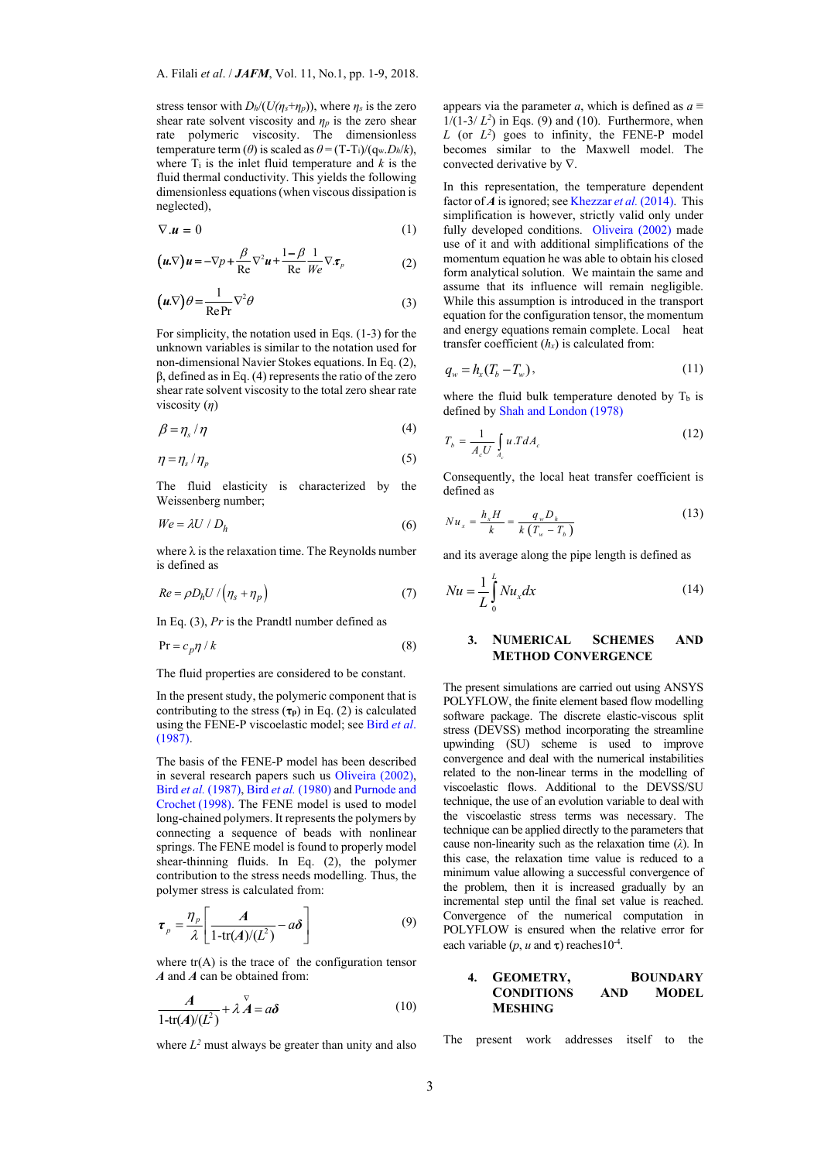stress tensor with  $D_h/(U(\eta_s+\eta_p))$ , where  $\eta_s$  is the zero shear rate solvent viscosity and  $\eta_p$  is the zero shear rate polymeric viscosity. The dimensionless temperature term ( $\theta$ ) is scaled as  $\theta = (T-T_i)/(q_w.D_h/k)$ , where  $T_i$  is the inlet fluid temperature and  $k$  is the fluid thermal conductivity. This yields the following dimensionless equations (when viscous dissipation is neglected),

$$
\nabla \mathbf{u} = 0 \tag{1}
$$

$$
\left(\boldsymbol{u}\cdot\!\nabla\right)\boldsymbol{u} = -\nabla p + \frac{\beta}{\mathrm{Re}}\nabla^2\boldsymbol{u} + \frac{1-\beta}{\mathrm{Re}}\frac{1}{\mathcal{W}e}\nabla\cdot\boldsymbol{\tau}_p\tag{2}
$$

$$
\left(\mathbf{u}\cdot\nabla\right)\theta = \frac{1}{\text{Re}\,\text{Pr}}\nabla^2\theta\tag{3}
$$

For simplicity, the notation used in Eqs. (1-3) for the unknown variables is similar to the notation used for non-dimensional Navier Stokes equations. In Eq. (2), β, defined as in Eq. (4) represents the ratio of the zero shear rate solvent viscosity to the total zero shear rate viscosity (*η*)

$$
\beta = \eta_s / \eta \tag{4}
$$

$$
\eta = \eta_s / \eta_p \tag{5}
$$

The fluid elasticity is characterized by the Weissenberg number;

$$
We = \lambda U / D_h \tag{6}
$$

where  $\lambda$  is the relaxation time. The Reynolds number is defined as

$$
Re = \rho D_h U / (n_s + n_p) \tag{7}
$$

In Eq. (3), *Pr* is the Prandtl number defined as

$$
Pr = c_p \eta / k \tag{8}
$$

The fluid properties are considered to be constant.

In the present study, the polymeric component that is contributing to the stress  $(\tau_p)$  in Eq. (2) is calculated using the FENE-P viscoelastic model; see Bird *et al*. (1987).

The basis of the FENE-P model has been described in several research papers such us Oliveira (2002), Bird *et al.* (1987), Bird *et al.* (1980) and Purnode and Crochet (1998). The FENE model is used to model long-chained polymers. It represents the polymers by connecting a sequence of beads with nonlinear springs. The FENE model is found to properly model shear-thinning fluids. In Eq. (2), the polymer contribution to the stress needs modelling. Thus, the polymer stress is calculated from:

$$
\boldsymbol{\tau}_p = \frac{\eta_p}{\lambda} \left[ \frac{A}{1 - \text{tr}(A)/(L^2)} - a\boldsymbol{\delta} \right] \tag{9}
$$

where  $tr(A)$  is the trace of the configuration tensor *A* and *A* can be obtained from:

$$
\frac{A}{1-\text{tr}(A)/(L^2)} + \lambda \stackrel{\nabla}{A} = a\delta \tag{10}
$$

where  $L^2$  must always be greater than unity and also

appears via the parameter *a*, which is defined as  $a \equiv$  $1/(1-3/L^2)$  in Eqs. (9) and (10). Furthermore, when  $L$  (or  $L^2$ ) goes to infinity, the FENE-P model becomes similar to the Maxwell model. The convected derivative by  $\nabla$ .

In this representation, the temperature dependent factor of *A* is ignored; see Khezzar *et al.* (2014). This simplification is however, strictly valid only under fully developed conditions. Oliveira (2002) made use of it and with additional simplifications of the momentum equation he was able to obtain his closed form analytical solution. We maintain the same and assume that its influence will remain negligible. While this assumption is introduced in the transport equation for the configuration tensor, the momentum and energy equations remain complete. Local heat transfer coefficient  $(h_x)$  is calculated from:

$$
q_w = h_x(T_b - T_w),\tag{11}
$$

where the fluid bulk temperature denoted by  $T_b$  is defined by Shah and London (1978)

$$
T_b = \frac{1}{A_c U} \int_{A_c} u \cdot T dA_c \tag{12}
$$

Consequently, the local heat transfer coefficient is defined as

$$
Nu_x = \frac{h_x H}{k} = \frac{q_w D_h}{k (T_w - T_b)}
$$
(13)

and its average along the pipe length is defined as

$$
Nu = \frac{1}{L} \int_{0}^{L} Nu_x dx
$$
 (14)

### **3. NUMERICAL SCHEMES AND METHOD CONVERGENCE**

The present simulations are carried out using ANSYS POLYFLOW, the finite element based flow modelling software package. The discrete elastic-viscous split stress (DEVSS) method incorporating the streamline upwinding (SU) scheme is used to improve convergence and deal with the numerical instabilities related to the non-linear terms in the modelling of viscoelastic flows. Additional to the DEVSS/SU technique, the use of an evolution variable to deal with the viscoelastic stress terms was necessary. The technique can be applied directly to the parameters that cause non-linearity such as the relaxation time (*λ*). In this case, the relaxation time value is reduced to a minimum value allowing a successful convergence of the problem, then it is increased gradually by an incremental step until the final set value is reached. Convergence of the numerical computation in POLYFLOW is ensured when the relative error for each variable ( $p$ ,  $u$  and  $\tau$ ) reaches 10<sup>-4</sup>.

### **4. GEOMETRY, BOUNDARY CONDITIONS AND MODEL MESHING**

The present work addresses itself to the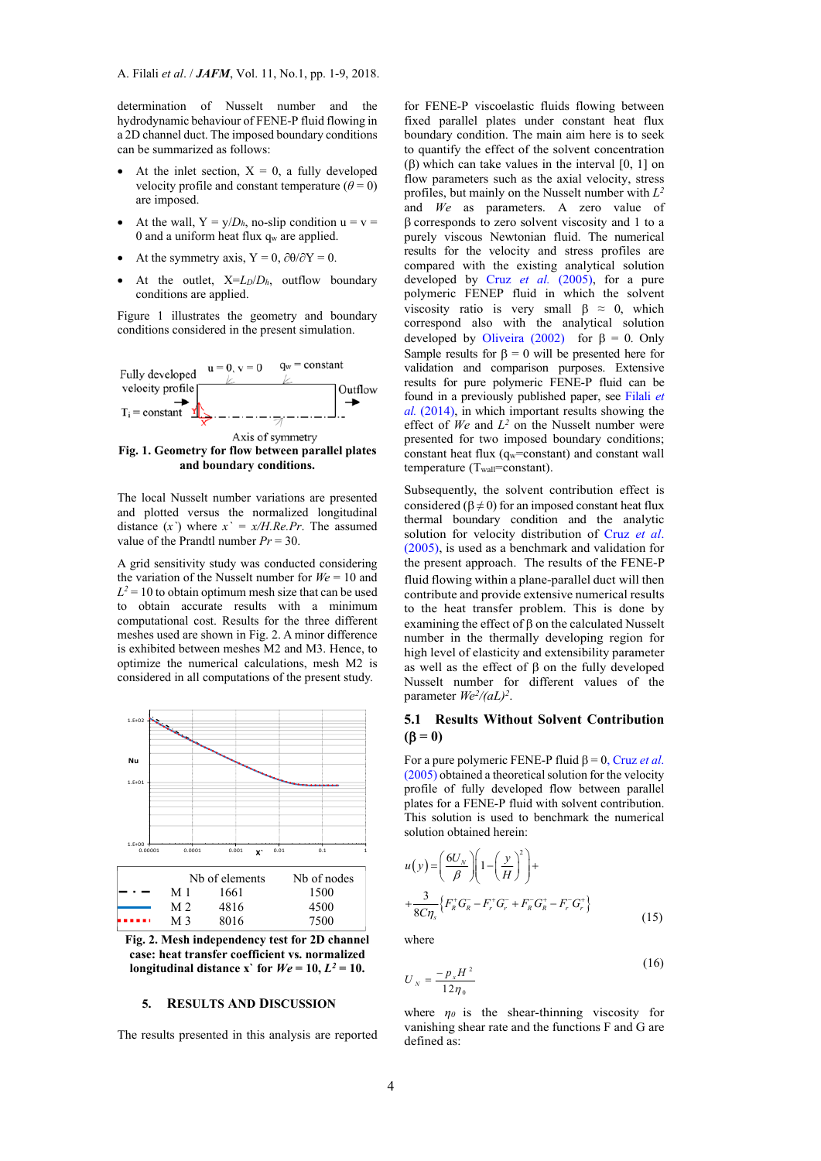determination of Nusselt number and the hydrodynamic behaviour of FENE-P fluid flowing in a 2D channel duct. The imposed boundary conditions can be summarized as follows:

- At the inlet section,  $X = 0$ , a fully developed velocity profile and constant temperature  $(\theta = 0)$ are imposed.
- At the wall,  $Y = y/D_h$ , no-slip condition  $u = v =$ 0 and a uniform heat flux qw are applied.
- At the symmetry axis,  $Y = 0$ ,  $\partial \theta / \partial Y = 0$ .
- At the outlet, X=*LD*/*Dh*, outflow boundary conditions are applied.

Figure 1 illustrates the geometry and boundary conditions considered in the present simulation.



The local Nusselt number variations are presented and plotted versus the normalized longitudinal distance  $(x^{\prime})$  where  $x^{\prime} = x/H$ . Re.Pr. The assumed value of the Prandtl number *Pr* = 30.

A grid sensitivity study was conducted considering the variation of the Nusselt number for *We* = 10 and  $L^2 = 10$  to obtain optimum mesh size that can be used to obtain accurate results with a minimum computational cost. Results for the three different meshes used are shown in Fig. 2. A minor difference is exhibited between meshes M2 and M3. Hence, to optimize the numerical calculations, mesh M2 is considered in all computations of the present study.



**Fig. 2. Mesh independency test for 2D channel case: heat transfer coefficient vs. normalized**  longitudinal distance x' for  $We = 10, L^2 = 10$ .

## **5. RESULTS AND DISCUSSION**

The results presented in this analysis are reported

for FENE-P viscoelastic fluids flowing between fixed parallel plates under constant heat flux boundary condition. The main aim here is to seek to quantify the effect of the solvent concentration  $(\beta)$  which can take values in the interval [0, 1] on flow parameters such as the axial velocity, stress profiles, but mainly on the Nusselt number with *L2* and *We* as parameters. A zero value of  $\beta$  corresponds to zero solvent viscosity and 1 to a purely viscous Newtonian fluid. The numerical results for the velocity and stress profiles are compared with the existing analytical solution developed by Cruz *et al.* (2005), for a pure polymeric FENEP fluid in which the solvent viscosity ratio is very small  $\beta \approx 0$ , which correspond also with the analytical solution developed by Oliveira (2002) for  $\beta = 0$ . Only Sample results for  $\beta = 0$  will be presented here for validation and comparison purposes. Extensive results for pure polymeric FENE-P fluid can be found in a previously published paper, see Filali *et al.* (2014), in which important results showing the effect of  $We$  and  $L^2$  on the Nusselt number were presented for two imposed boundary conditions; constant heat flux  $(q_w=constant)$  and constant wall temperature (T<sub>wall</sub>=constant).

Subsequently, the solvent contribution effect is considered ( $\beta \neq 0$ ) for an imposed constant heat flux thermal boundary condition and the analytic solution for velocity distribution of Cruz *et al*. (2005), is used as a benchmark and validation for the present approach. The results of the FENE-P fluid flowing within a plane-parallel duct will then contribute and provide extensive numerical results to the heat transfer problem. This is done by examining the effect of  $\beta$  on the calculated Nusselt number in the thermally developing region for high level of elasticity and extensibility parameter as well as the effect of  $\beta$  on the fully developed Nusselt number for different values of the parameter  $W e^2/(aL)^2$ .

# **5.1 Results Without Solvent Contribution**   $( \beta = 0)$

For a pure polymeric FENE-P fluid  $\beta = 0$ , Cruz *et al.* (2005) obtained a theoretical solution for the velocity profile of fully developed flow between parallel plates for a FENE-P fluid with solvent contribution. This solution is used to benchmark the numerical solution obtained herein:

$$
u(y) = \left(\frac{6U_N}{\beta}\right)\left(1 - \left(\frac{y}{H}\right)^2\right) +
$$
  
 
$$
+ \frac{3}{8C\eta_s} \left\{F_R^+ G_R^- - F_r^+ G_r^- + F_R^- G_R^+ - F_r^- G_r^+\right\}
$$
 (15)

where

$$
U_{N} = \frac{-p_{x}H^{2}}{12\eta_{0}}
$$
 (16)

where  $\eta_0$  is the shear-thinning viscosity for vanishing shear rate and the functions F and G are defined as: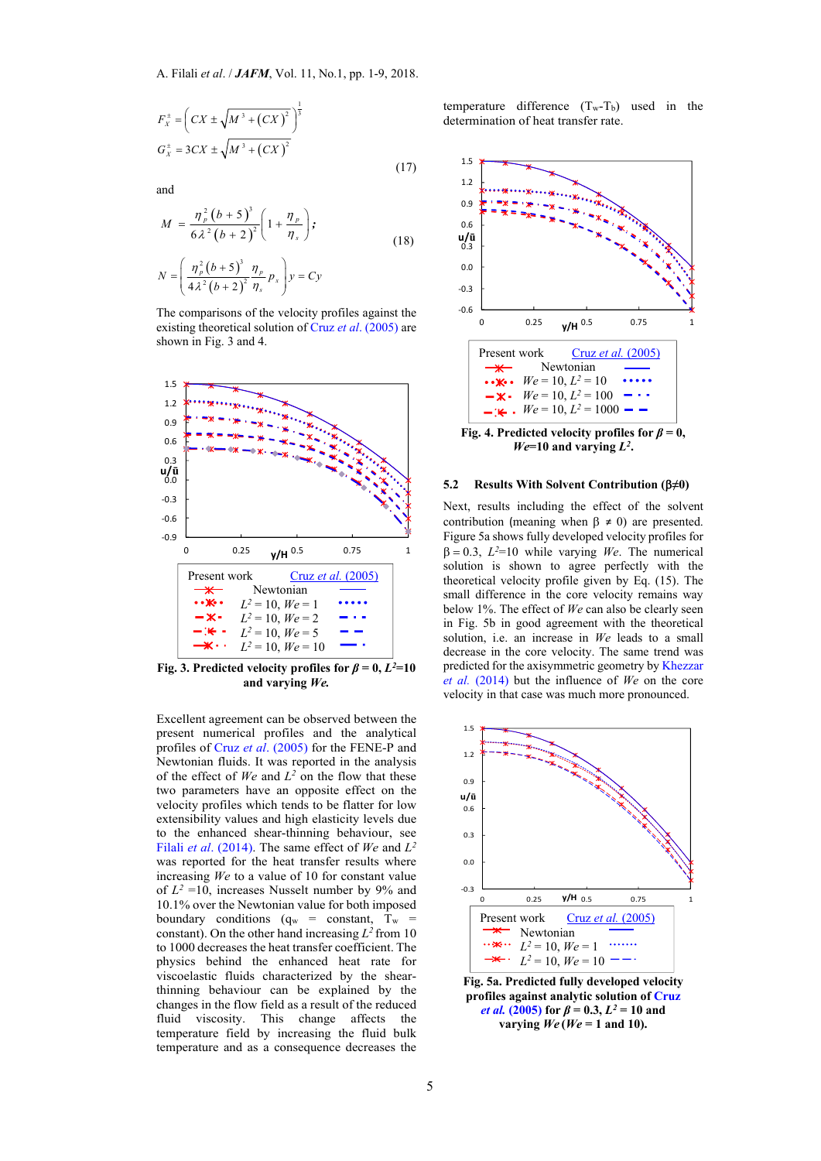$$
F_X^{\pm} = \left( CX \pm \sqrt{M^3 + (CX)^2} \right)^{\frac{1}{3}}
$$
  
\n
$$
G_X^{\pm} = 3CX \pm \sqrt{M^3 + (CX)^2}
$$

and

$$
M = \frac{\eta_{p}^{2} (b+5)^{3}}{6 \lambda^{2} (b+2)^{2}} \left(1 + \frac{\eta_{p}}{\eta_{s}}\right);
$$
  
\n
$$
N = \left(\frac{\eta_{p}^{2} (b+5)^{3}}{4 \lambda^{2} (b+2)^{2}} \frac{\eta_{p}}{\eta_{s}} p_{x}\right) y = Cy
$$
\n(18)

(17)

The comparisons of the velocity profiles against the existing theoretical solution of Cruz *et al*. (2005) are shown in Fig. 3 and 4.



**Fig. 3. Predicted velocity profiles for**  $\beta = 0$ **,**  $L^2 = 10$ **and varying** *We.*

Excellent agreement can be observed between the present numerical profiles and the analytical profiles of Cruz *et al*. (2005) for the FENE-P and Newtonian fluids. It was reported in the analysis of the effect of  $We$  and  $L^2$  on the flow that these two parameters have an opposite effect on the velocity profiles which tends to be flatter for low extensibility values and high elasticity levels due to the enhanced shear-thinning behaviour, see Filali *et al*. (2014). The same effect of *We* and *L2* was reported for the heat transfer results where increasing *We* to a value of 10 for constant value of  $L^2$  =10, increases Nusselt number by 9% and 10.1% over the Newtonian value for both imposed boundary conditions  $(q_w = constant, T_w =$ constant). On the other hand increasing  $L^2$  from 10 to 1000 decreases the heat transfer coefficient. The physics behind the enhanced heat rate for viscoelastic fluids characterized by the shearthinning behaviour can be explained by the changes in the flow field as a result of the reduced fluid viscosity. This change affects the temperature field by increasing the fluid bulk temperature and as a consequence decreases the

temperature difference  $(T_w-T_b)$  used in the determination of heat transfer rate.



#### **5.2 Results With Solvent Contribution (≠0)**

Next, results including the effect of the solvent contribution (meaning when  $\beta \neq 0$ ) are presented. Figure 5a shows fully developed velocity profiles for  $\beta = 0.3$ ,  $L^2=10$  while varying *We*. The numerical solution is shown to agree perfectly with the theoretical velocity profile given by Eq. (15). The small difference in the core velocity remains way below 1%. The effect of *We* can also be clearly seen in Fig. 5b in good agreement with the theoretical solution, i.e. an increase in *We* leads to a small decrease in the core velocity. The same trend was predicted for the axisymmetric geometry by Khezzar *et al.* (2014) but the influence of *We* on the core velocity in that case was much more pronounced.



**Fig. 5a. Predicted fully developed velocity profiles against analytic solution of Cruz**  *et al.* (2005) for  $\beta = 0.3$ ,  $L^2 = 10$  and varying  $We (We = 1$  and 10).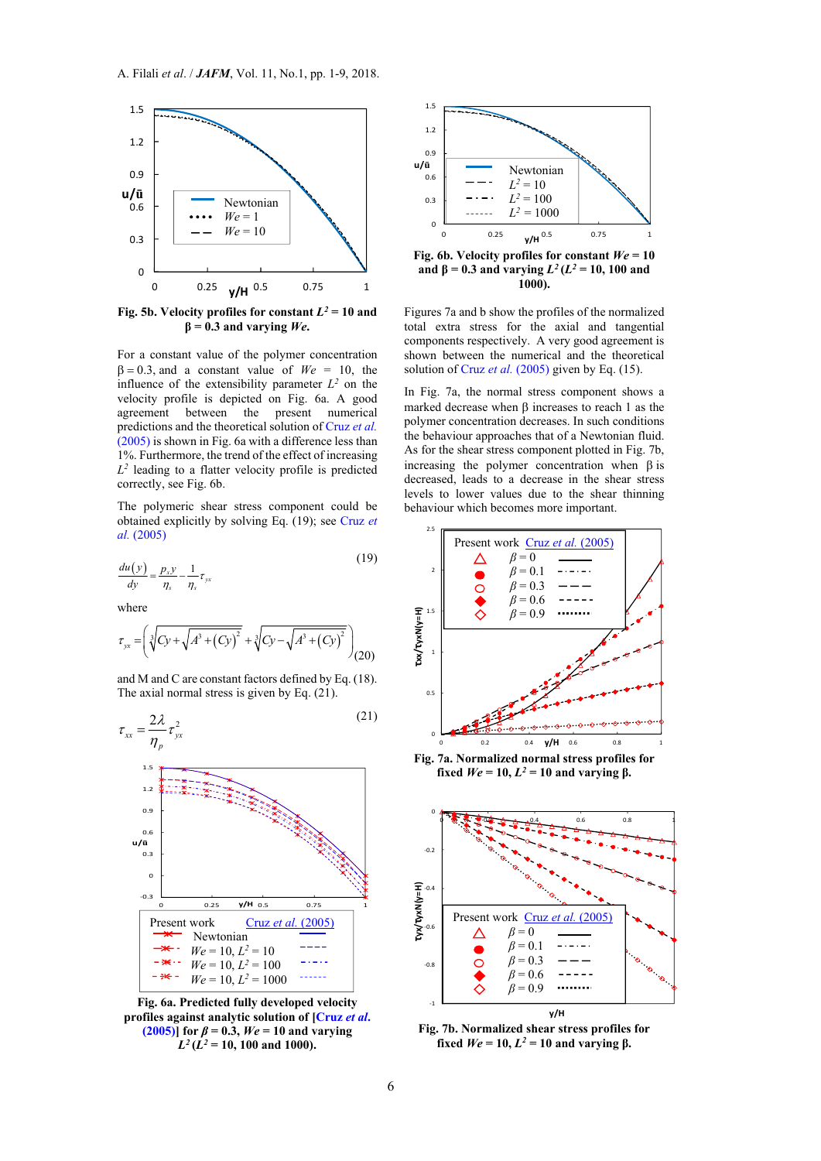

**Fig. 5b. Velocity profiles for constant**  $L^2 = 10$  **and**  $\beta = 0.3$  and varying *We*.

For a constant value of the polymer concentration  $\beta = 0.3$ , and a constant value of  $W_e = 10$ , the influence of the extensibility parameter  $L^2$  on the velocity profile is depicted on Fig. 6a. A good agreement between the present numerical predictions and the theoretical solution of Cruz *et al.* (2005) is shown in Fig. 6a with a difference less than 1%. Furthermore, the trend of the effect of increasing  $L^2$  leading to a flatter velocity profile is predicted correctly, see Fig. 6b.

The polymeric shear stress component could be obtained explicitly by solving Eq. (19); see Cruz *et al.* (2005)

$$
\frac{du(y)}{dy} = \frac{p_x y}{\eta_s} - \frac{1}{\eta_s} \tau_{yx}
$$
\n(19)

where

$$
\tau_{yx} = \left( \sqrt[3]{Cy + \sqrt{A^3 + (Cy)^2}} + \sqrt[3]{Cy - \sqrt{A^3 + (Cy)^2}} \right)_{(20)}
$$

and M and C are constant factors defined by Eq. (18). The axial normal stress is given by Eq. (21).



**Fig. 6a. Predicted fully developed velocity profiles against analytic solution of [Cruz** *et al***. (2005)**] for  $\beta = 0.3$ ,  $We = 10$  and varying  $L^2(L^2 = 10, 100$  and 1000).



**and β** = 0.3 and varying  $L^2(L^2 = 10, 100$  and **1000).** 

Figures 7a and b show the profiles of the normalized total extra stress for the axial and tangential components respectively. A very good agreement is shown between the numerical and the theoretical solution of Cruz *et al.* (2005) given by Eq. (15).

In Fig. 7a, the normal stress component shows a marked decrease when B increases to reach 1 as the polymer concentration decreases. In such conditions the behaviour approaches that of a Newtonian fluid. As for the shear stress component plotted in Fig. 7b, increasing the polymer concentration when  $\beta$  is decreased, leads to a decrease in the shear stress levels to lower values due to the shear thinning behaviour which becomes more important.



**Fig. 7a. Normalized normal stress profiles for fixed**  $We = 10$ ,  $L^2 = 10$  and varying  $\beta$ .



**Fig. 7b. Normalized shear stress profiles for fixed**  $W$ *e* = 10,  $L^2$  = 10 and varying β.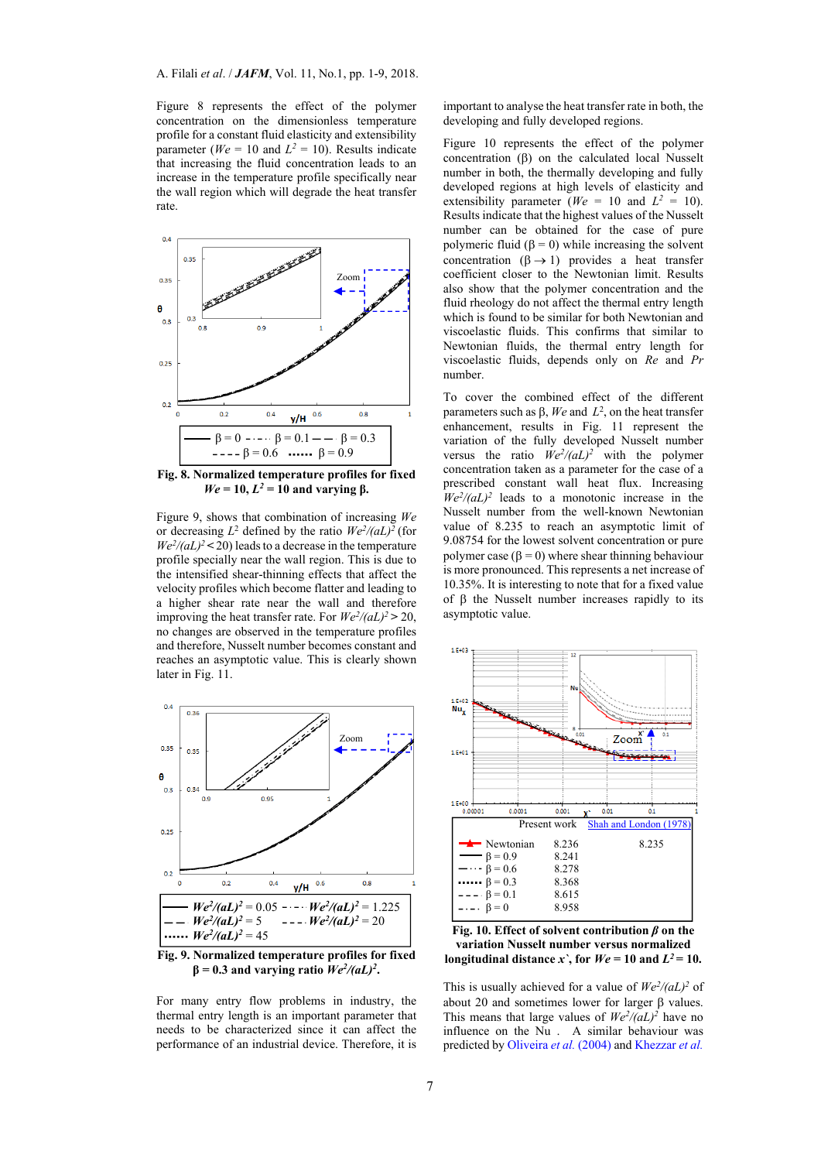Figure 8 represents the effect of the polymer concentration on the dimensionless temperature profile for a constant fluid elasticity and extensibility parameter ( $We = 10$  and  $L^2 = 10$ ). Results indicate that increasing the fluid concentration leads to an increase in the temperature profile specifically near the wall region which will degrade the heat transfer rate.



**Fig. 8. Normalized temperature profiles for fixed**   $We = 10$ ,  $L^2 = 10$  and varying  $\beta$ .

Figure 9, shows that combination of increasing *We* or decreasing  $L^2$  defined by the ratio  $We^2/(aL)^2$  (for  $We^2/(aL)^2$  < 20) leads to a decrease in the temperature profile specially near the wall region. This is due to the intensified shear-thinning effects that affect the velocity profiles which become flatter and leading to a higher shear rate near the wall and therefore improving the heat transfer rate. For  $We^2/(aL)^2 > 20$ , no changes are observed in the temperature profiles and therefore, Nusselt number becomes constant and reaches an asymptotic value. This is clearly shown later in Fig. 11.



 $β = 0.3$  and varying ratio  $We^2/(aL)^2$ **.** 

For many entry flow problems in industry, the thermal entry length is an important parameter that needs to be characterized since it can affect the performance of an industrial device. Therefore, it is

important to analyse the heat transfer rate in both, the developing and fully developed regions.

Figure 10 represents the effect of the polymer concentration  $(\beta)$  on the calculated local Nusselt number in both, the thermally developing and fully developed regions at high levels of elasticity and extensibility parameter ( $We = 10$  and  $L^2 = 10$ ). Results indicate that the highest values of the Nusselt number can be obtained for the case of pure polymeric fluid  $(\beta = 0)$  while increasing the solvent concentration  $(\beta \rightarrow 1)$  provides a heat transfer coefficient closer to the Newtonian limit. Results also show that the polymer concentration and the fluid rheology do not affect the thermal entry length which is found to be similar for both Newtonian and viscoelastic fluids. This confirms that similar to Newtonian fluids, the thermal entry length for viscoelastic fluids, depends only on *Re* and *Pr* number.

To cover the combined effect of the different parameters such as  $\beta$ , We and  $L^2$ , on the heat transfer enhancement, results in Fig. 11 represent the variation of the fully developed Nusselt number versus the ratio  $\dot{W}e^2/(aL)^2$  with the polymer concentration taken as a parameter for the case of a prescribed constant wall heat flux. Increasing  $We^2/(aL)^2$  leads to a monotonic increase in the Nusselt number from the well-known Newtonian value of 8.235 to reach an asymptotic limit of 9.08754 for the lowest solvent concentration or pure polymer case ( $\beta = 0$ ) where shear thinning behaviour is more pronounced. This represents a net increase of 10.35%. It is interesting to note that for a fixed value of  $\beta$  the Nusselt number increases rapidly to its asymptotic value.



**Fig. 10. Effect of solvent contribution** *β* **on the variation Nusselt number versus normalized longitudinal distance** *x*, for  $We = 10$  and  $L^2 = 10$ .

This is usually achieved for a value of  $We^2/(aL)^2$  of about 20 and sometimes lower for larger  $\beta$  values. This means that large values of  $We^2/(aL)^2$  have no influence on the Nu . A similar behaviour was predicted by Oliveira *et al.* (2004) and Khezzar *et al.*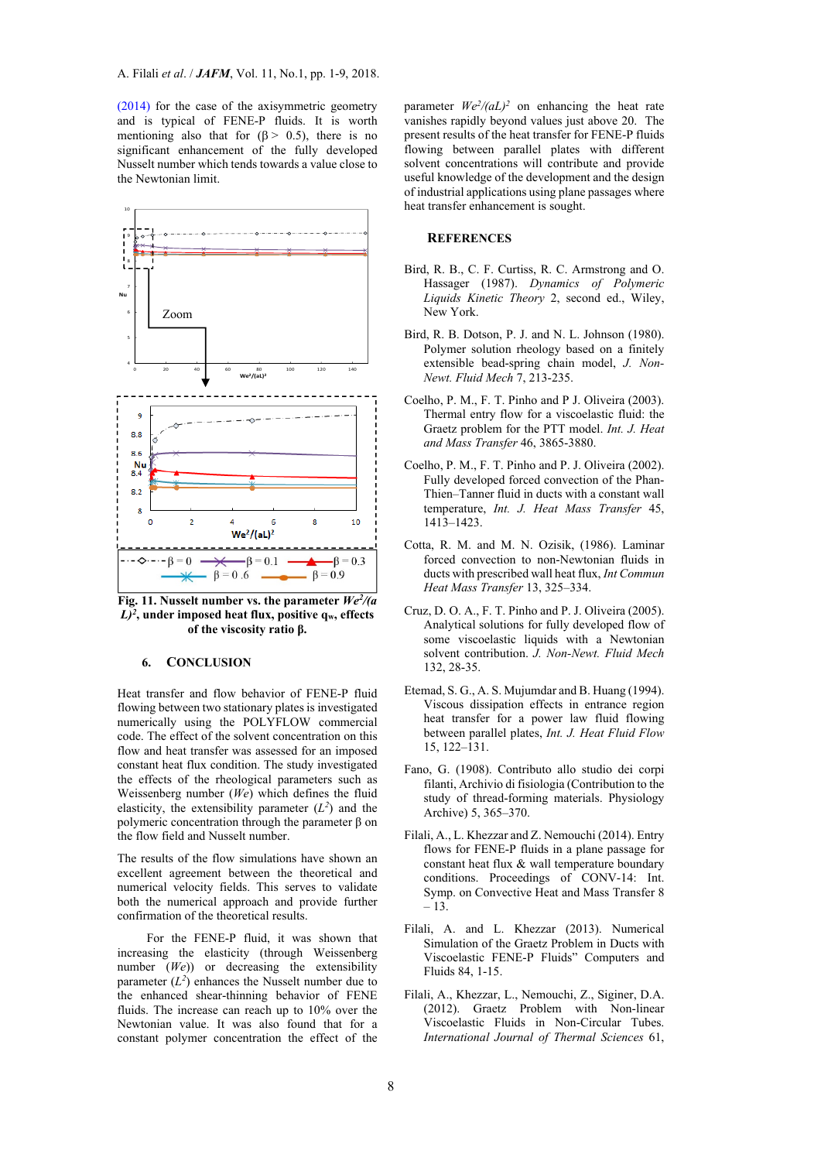(2014) for the case of the axisymmetric geometry and is typical of FENE-P fluids. It is worth mentioning also that for  $(8 \ge 0.5)$ , there is no significant enhancement of the fully developed Nusselt number which tends towards a value close to the Newtonian limit.



**Fig. 11. Nusselt number vs. the parameter** *We2/(a*   $L^2$ <sup>2</sup>, under imposed heat flux, positive  $q_w$ , effects **of the viscosity ratio β.** 

## **6. CONCLUSION**

Heat transfer and flow behavior of FENE-P fluid flowing between two stationary plates is investigated numerically using the POLYFLOW commercial code. The effect of the solvent concentration on this flow and heat transfer was assessed for an imposed constant heat flux condition. The study investigated the effects of the rheological parameters such as Weissenberg number (*We*) which defines the fluid elasticity, the extensibility parameter  $(L^2)$  and the polymeric concentration through the parameter β on the flow field and Nusselt number.

The results of the flow simulations have shown an excellent agreement between the theoretical and numerical velocity fields. This serves to validate both the numerical approach and provide further confirmation of the theoretical results.

For the FENE-P fluid, it was shown that increasing the elasticity (through Weissenberg number (*We*)) or decreasing the extensibility parameter  $(L^2)$  enhances the Nusselt number due to the enhanced shear-thinning behavior of FENE fluids. The increase can reach up to 10% over the Newtonian value. It was also found that for a constant polymer concentration the effect of the

parameter  $We^2/(aL)^2$  on enhancing the heat rate vanishes rapidly beyond values just above 20. The present results of the heat transfer for FENE-P fluids flowing between parallel plates with different solvent concentrations will contribute and provide useful knowledge of the development and the design of industrial applications using plane passages where heat transfer enhancement is sought.

#### **REFERENCES**

- Bird, R. B., C. F. Curtiss, R. C. Armstrong and O. Hassager (1987). *Dynamics of Polymeric Liquids Kinetic Theory* 2, second ed., Wiley, New York.
- Bird, R. B. Dotson, P. J. and N. L. Johnson (1980). Polymer solution rheology based on a finitely extensible bead-spring chain model, *J. Non-Newt. Fluid Mech* 7, 213-235.
- Coelho, P. M., F. T. Pinho and P J. Oliveira (2003). Thermal entry flow for a viscoelastic fluid: the Graetz problem for the PTT model. *Int. J. Heat and Mass Transfer* 46, 3865-3880.
- Coelho, P. M., F. T. Pinho and P. J. Oliveira  $(2002)$ . Fully developed forced convection of the Phan-Thien–Tanner fluid in ducts with a constant wall temperature, *Int. J. Heat Mass Transfer* 45, 1413–1423.
- Cotta, R. M. and M. N. Ozisik, (1986). Laminar forced convection to non-Newtonian fluids in ducts with prescribed wall heat flux, *Int Commun Heat Mass Transfer* 13, 325–334.
- Cruz, D. O. A., F. T. Pinho and P. J. Oliveira (2005). Analytical solutions for fully developed flow of some viscoelastic liquids with a Newtonian solvent contribution. *J. Non-Newt. Fluid Mech* 132, 28-35.
- Etemad, S. G., A. S. Mujumdar and B. Huang (1994). Viscous dissipation effects in entrance region heat transfer for a power law fluid flowing between parallel plates, *Int. J. Heat Fluid Flow* 15, 122–131.
- Fano, G. (1908). Contributo allo studio dei corpi filanti, Archivio di fisiologia (Contribution to the study of thread-forming materials. Physiology Archive) 5, 365–370.
- Filali, A., L. Khezzar and Z. Nemouchi (2014). Entry flows for FENE-P fluids in a plane passage for constant heat flux & wall temperature boundary conditions. Proceedings of CONV-14: Int. Symp. on Convective Heat and Mass Transfer 8 – 13.
- Filali, A. and L. Khezzar (2013). Numerical Simulation of the Graetz Problem in Ducts with Viscoelastic FENE-P Fluids" Computers and Fluids 84, 1-15.
- Filali, A., Khezzar, L., Nemouchi, Z., Siginer, D.A. (2012). Graetz Problem with Non-linear Viscoelastic Fluids in Non-Circular Tubes. *International Journal of Thermal Sciences* 61,